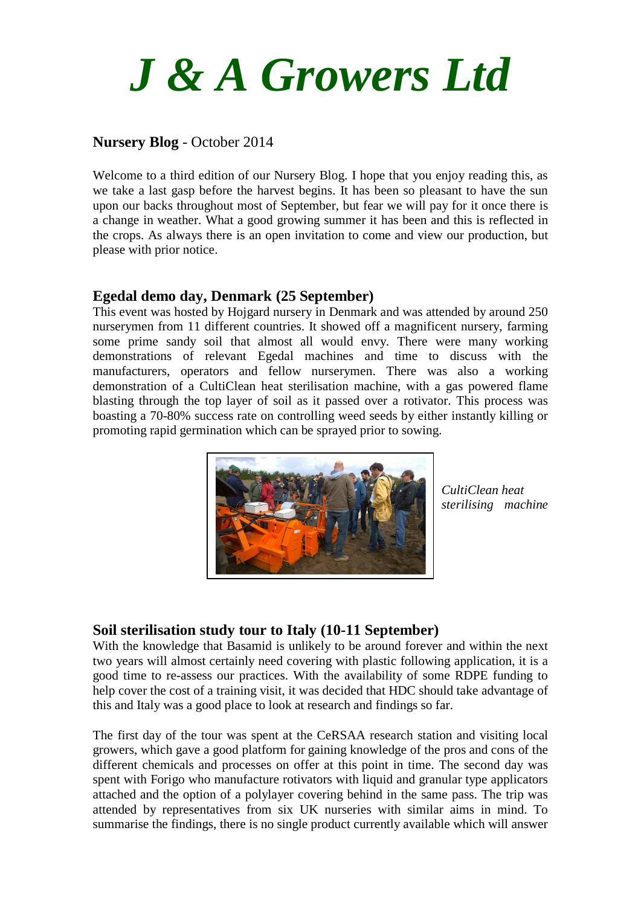

### **Nursery Blog** - October 2014

Welcome to a third edition of our Nursery Blog. I hope that you enjoy reading this, as we take a last gasp before the harvest begins. It has been so pleasant to have the sun upon our backs throughout most of September, but fear we will pay for it once there is a change in weather. What a good growing summer it has been and this is reflected in the crops. As always there is an open invitation to come and view our production, but please with prior notice.

#### **Egedal demo day, Denmark (25 September)**

This event was hosted by Hojgard nursery in Denmark and was attended by around 250 nurserymen from 11 different countries. It showed off a magnificent nursery, farming some prime sandy soil that almost all would envy. There were many working demonstrations of relevant Egedal machines and time to discuss with the manufacturers, operators and fellow nurserymen. There was also a working demonstration of a CultiClean heat sterilisation machine, with a gas powered flame blasting through the top layer of soil as it passed over a rotivator. This process was boasting a 70-80% success rate on controlling weed seeds by either instantly killing or promoting rapid germination which can be sprayed prior to sowing.



*CultiClean heat sterilising machine*

### **Soil sterilisation study tour to Italy (10-11 September)**

With the knowledge that Basamid is unlikely to be around forever and within the next two years will almost certainly need covering with plastic following application, it is a good time to re-assess our practices. With the availability of some RDPE funding to help cover the cost of a training visit, it was decided that HDC should take advantage of this and Italy was a good place to look at research and findings so far.

The first day of the tour was spent at the CeRSAA research station and visiting local growers, which gave a good platform for gaining knowledge of the pros and cons of the different chemicals and processes on offer at this point in time. The second day was spent with Forigo who manufacture rotivators with liquid and granular type applicators attached and the option of a polylayer covering behind in the same pass. The trip was attended by representatives from six UK nurseries with similar aims in mind. To summarise the findings, there is no single product currently available which will answer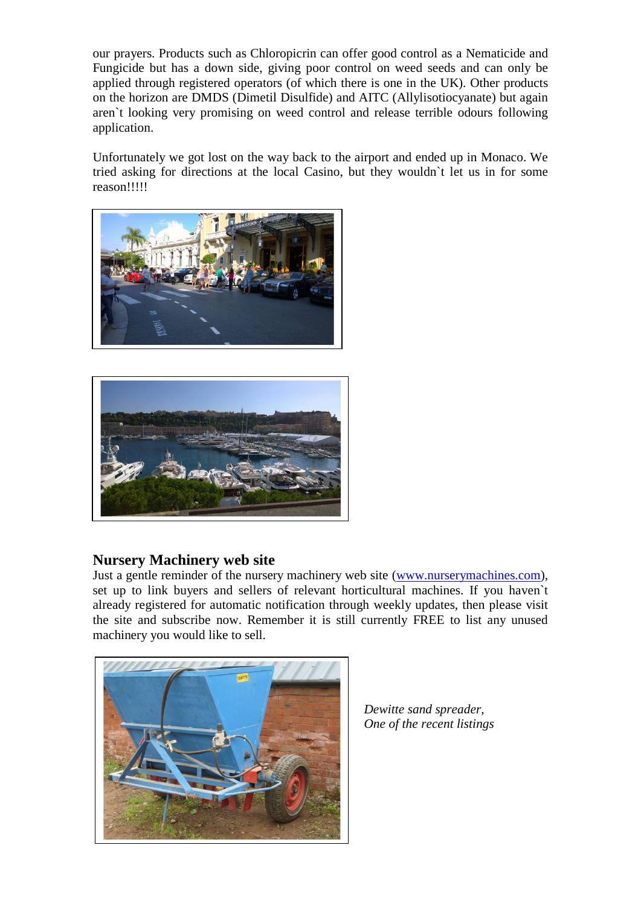our prayers. Products such as Chloropicrin can offer good control as a Nematicide and Fungicide but has a down side, giving poor control on weed seeds and can only be applied through registered operators (of which there is one in the UK). Other products on the horizon are DMDS (Dimetil Disulfide) and AITC (Allylisotiocyanate) but again aren`t looking very promising on weed control and release terrible odours following application.

Unfortunately we got lost on the way back to the airport and ended up in Monaco. We tried asking for directions at the local Casino, but they wouldn`t let us in for some reason!!!!!





# **Nursery Machinery web site**

Just a gentle reminder of the nursery machinery web site [\(www.nurserymachines.com\)](http://www.nurserymachines.com/), set up to link buyers and sellers of relevant horticultural machines. If you haven`t already registered for automatic notification through weekly updates, then please visit the site and subscribe now. Remember it is still currently FREE to list any unused machinery you would like to sell.



*Dewitte sand spreader, One of the recent listings*